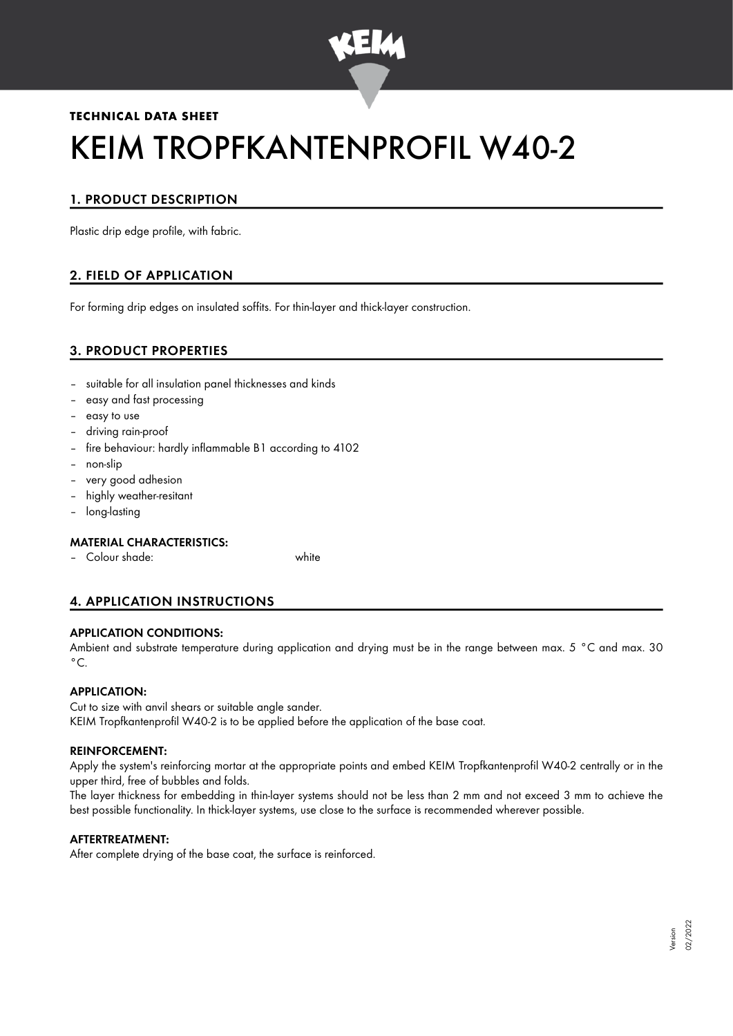

# **TECHNICAL DATA SHEET** KEIM TROPFKANTENPROFIL W40-2

# 1. PRODUCT DESCRIPTION

Plastic drip edge profile, with fabric.

# 2. FIELD OF APPLICATION

For forming drip edges on insulated soffits. For thin-layer and thick-layer construction.

# 3. PRODUCT PROPERTIES

- suitable for all insulation panel thicknesses and kinds
- easy and fast processing
- easy to use
- driving rain-proof
- fire behaviour: hardly inflammable B1 according to 4102
- non-slip
- very good adhesion
- highly weather-resitant
- long-lasting

## MATERIAL CHARACTERISTICS:

– Colour shade: white

## 4. APPLICATION INSTRUCTIONS

## APPLICATION CONDITIONS:

Ambient and substrate temperature during application and drying must be in the range between max. 5 °C and max. 30  $^{\circ}$ C.

## APPLICATION:

Cut to size with anvil shears or suitable angle sander. KEIM Tropfkantenprofil W40-2 is to be applied before the application of the base coat.

#### REINFORCEMENT:

Apply the system's reinforcing mortar at the appropriate points and embed KEIM Tropfkantenprofil W40-2 centrally or in the upper third, free of bubbles and folds.

The layer thickness for embedding in thin-layer systems should not be less than 2 mm and not exceed 3 mm to achieve the best possible functionality. In thick-layer systems, use close to the surface is recommended wherever possible.

#### AFTERTREATMENT:

After complete drying of the base coat, the surface is reinforced.